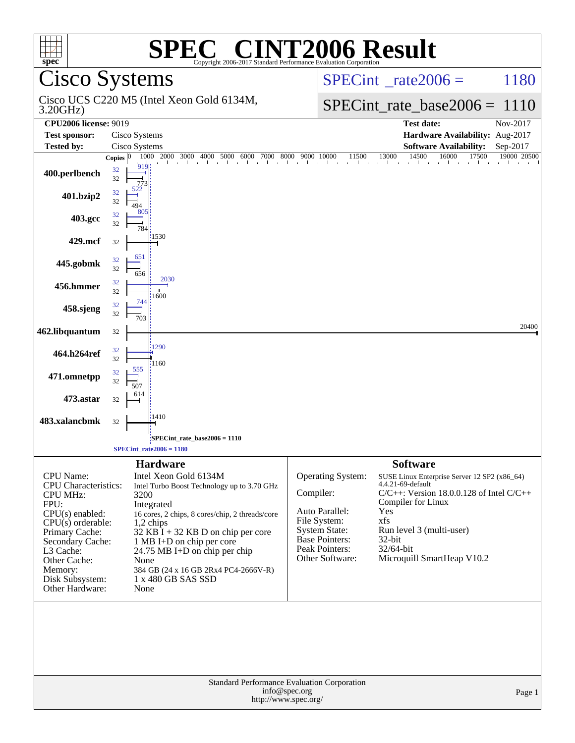| $spec^*$                                                                                                                                                                                                                                   |                               | <b>EC<sup>®</sup> CINT2006 Result</b><br>SPI<br>Copyright 2006-2017 Standard Performance Evaluation Corporation                                                                                                                                                                                                                                        |           |                                                                                                                                           |                                                                                                                                                                                                                                                            |                         |
|--------------------------------------------------------------------------------------------------------------------------------------------------------------------------------------------------------------------------------------------|-------------------------------|--------------------------------------------------------------------------------------------------------------------------------------------------------------------------------------------------------------------------------------------------------------------------------------------------------------------------------------------------------|-----------|-------------------------------------------------------------------------------------------------------------------------------------------|------------------------------------------------------------------------------------------------------------------------------------------------------------------------------------------------------------------------------------------------------------|-------------------------|
| Cisco Systems                                                                                                                                                                                                                              |                               |                                                                                                                                                                                                                                                                                                                                                        |           |                                                                                                                                           | $SPECint^{\circ}$ rate $2006 =$                                                                                                                                                                                                                            | 1180                    |
| Cisco UCS C220 M5 (Intel Xeon Gold 6134M,<br>3.20GHz                                                                                                                                                                                       |                               |                                                                                                                                                                                                                                                                                                                                                        |           |                                                                                                                                           | $SPECint_rate\_base2006 =$                                                                                                                                                                                                                                 | 1110                    |
| <b>CPU2006 license: 9019</b>                                                                                                                                                                                                               |                               |                                                                                                                                                                                                                                                                                                                                                        |           |                                                                                                                                           | <b>Test date:</b>                                                                                                                                                                                                                                          | Nov-2017                |
| <b>Test sponsor:</b>                                                                                                                                                                                                                       | Cisco Systems                 |                                                                                                                                                                                                                                                                                                                                                        |           |                                                                                                                                           | Hardware Availability: Aug-2017                                                                                                                                                                                                                            |                         |
| <b>Tested by:</b>                                                                                                                                                                                                                          | Cisco Systems<br>Copies $ 0 $ |                                                                                                                                                                                                                                                                                                                                                        |           |                                                                                                                                           | <b>Software Availability:</b><br>17500                                                                                                                                                                                                                     | Sep-2017<br>19000 20500 |
| 400.perlbench                                                                                                                                                                                                                              | 32<br>32<br>77.               | $\frac{1000}{2000} - \frac{2000}{3000} - \frac{3000}{4000} - \frac{4000}{5000} - \frac{5000}{6000} - \frac{7000}{600} - \frac{8000}{900} - \frac{9000}{10000} - \frac{11500}{1500} - \frac{13000}{1000} - \frac{14500}{1000} - \frac{16000}{1000} - \frac{1750}{1000} - \frac{1750}{1000} - \frac{1750}{1000} - \frac{1750$                            |           |                                                                                                                                           |                                                                                                                                                                                                                                                            |                         |
| 401.bzip2                                                                                                                                                                                                                                  | 32<br>32                      |                                                                                                                                                                                                                                                                                                                                                        |           |                                                                                                                                           |                                                                                                                                                                                                                                                            |                         |
| 403.gcc                                                                                                                                                                                                                                    | 32<br>32<br>784               |                                                                                                                                                                                                                                                                                                                                                        |           |                                                                                                                                           |                                                                                                                                                                                                                                                            |                         |
| 429.mcf                                                                                                                                                                                                                                    | 32                            | 1530                                                                                                                                                                                                                                                                                                                                                   |           |                                                                                                                                           |                                                                                                                                                                                                                                                            |                         |
| 445.gobmk                                                                                                                                                                                                                                  | 651<br>32<br>32<br>656        |                                                                                                                                                                                                                                                                                                                                                        |           |                                                                                                                                           |                                                                                                                                                                                                                                                            |                         |
| 456.hmmer                                                                                                                                                                                                                                  | 32<br>32                      | 2030<br>1600                                                                                                                                                                                                                                                                                                                                           |           |                                                                                                                                           |                                                                                                                                                                                                                                                            |                         |
| 458.sjeng                                                                                                                                                                                                                                  | 744<br>32<br>32<br>703        |                                                                                                                                                                                                                                                                                                                                                        |           |                                                                                                                                           |                                                                                                                                                                                                                                                            |                         |
| 462.libquantum                                                                                                                                                                                                                             | 32                            |                                                                                                                                                                                                                                                                                                                                                        |           |                                                                                                                                           |                                                                                                                                                                                                                                                            | 20400                   |
| 464.h264ref                                                                                                                                                                                                                                | 32<br>32                      | 1290<br>1160                                                                                                                                                                                                                                                                                                                                           |           |                                                                                                                                           |                                                                                                                                                                                                                                                            |                         |
| 471.omnetpp                                                                                                                                                                                                                                | 555<br>32<br>32<br>507        |                                                                                                                                                                                                                                                                                                                                                        |           |                                                                                                                                           |                                                                                                                                                                                                                                                            |                         |
| 473.astar                                                                                                                                                                                                                                  | 614<br>32                     |                                                                                                                                                                                                                                                                                                                                                        |           |                                                                                                                                           |                                                                                                                                                                                                                                                            |                         |
| 483.xalancbmk                                                                                                                                                                                                                              | 32                            | 1410                                                                                                                                                                                                                                                                                                                                                   |           |                                                                                                                                           |                                                                                                                                                                                                                                                            |                         |
|                                                                                                                                                                                                                                            |                               | SPECint_rate_base2006 = 1110<br>$SPECint_rate2006 = 1180$                                                                                                                                                                                                                                                                                              |           |                                                                                                                                           |                                                                                                                                                                                                                                                            |                         |
|                                                                                                                                                                                                                                            |                               |                                                                                                                                                                                                                                                                                                                                                        |           |                                                                                                                                           |                                                                                                                                                                                                                                                            |                         |
| <b>CPU</b> Name:<br><b>CPU</b> Characteristics:<br><b>CPU MHz:</b><br>FPU:<br>$CPU(s)$ enabled:<br>$CPU(s)$ orderable:<br>Primary Cache:<br>Secondary Cache:<br>L3 Cache:<br>Other Cache:<br>Memory:<br>Disk Subsystem:<br>Other Hardware: | 3200<br>None<br>None          | <b>Hardware</b><br>Intel Xeon Gold 6134M<br>Intel Turbo Boost Technology up to 3.70 GHz<br>Integrated<br>16 cores, 2 chips, 8 cores/chip, 2 threads/core<br>1,2 chips<br>$32$ KB $\overline{1}$ + 32 KB D on chip per core<br>1 MB I+D on chip per core<br>24.75 MB I+D on chip per chip<br>384 GB (24 x 16 GB 2Rx4 PC4-2666V-R)<br>1 x 480 GB SAS SSD | Compiler: | Operating System:<br>Auto Parallel:<br>File System:<br><b>System State:</b><br><b>Base Pointers:</b><br>Peak Pointers:<br>Other Software: | <b>Software</b><br>SUSE Linux Enterprise Server 12 SP2 (x86_64)<br>4.4.21-69-default<br>$C/C++$ : Version 18.0.0.128 of Intel $C/C++$<br>Compiler for Linux<br>Yes<br>xfs<br>Run level 3 (multi-user)<br>32-bit<br>32/64-bit<br>Microquill SmartHeap V10.2 |                         |
|                                                                                                                                                                                                                                            |                               | Standard Performance Evaluation Corporation<br>info@spec.org<br>http://www.spec.org/                                                                                                                                                                                                                                                                   |           |                                                                                                                                           |                                                                                                                                                                                                                                                            | Page 1                  |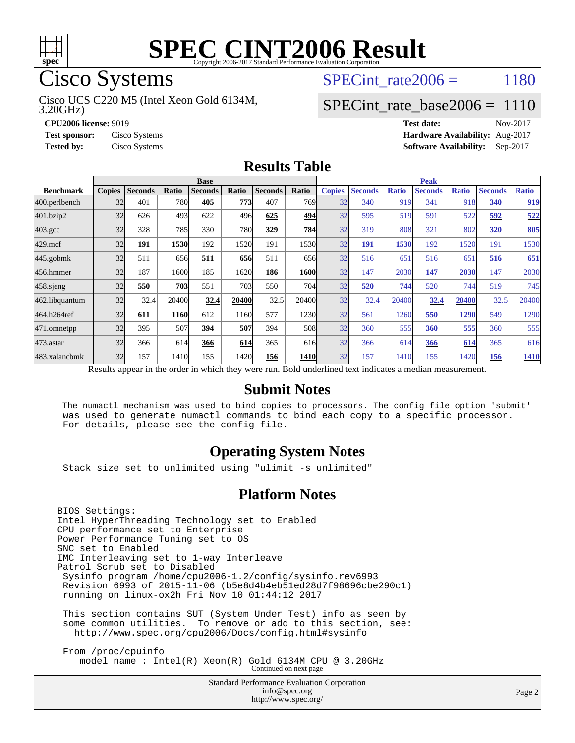

## Cisco Systems

3.20GHz) Cisco UCS C220 M5 (Intel Xeon Gold 6134M, SPECint rate $2006 = 1180$ 

[SPECint\\_rate\\_base2006 =](http://www.spec.org/auto/cpu2006/Docs/result-fields.html#SPECintratebase2006) 1110

**[CPU2006 license:](http://www.spec.org/auto/cpu2006/Docs/result-fields.html#CPU2006license)** 9019 **[Test date:](http://www.spec.org/auto/cpu2006/Docs/result-fields.html#Testdate)** Nov-2017 **[Test sponsor:](http://www.spec.org/auto/cpu2006/Docs/result-fields.html#Testsponsor)** Cisco Systems **[Hardware Availability:](http://www.spec.org/auto/cpu2006/Docs/result-fields.html#HardwareAvailability)** Aug-2017 **[Tested by:](http://www.spec.org/auto/cpu2006/Docs/result-fields.html#Testedby)** Cisco Systems **[Software Availability:](http://www.spec.org/auto/cpu2006/Docs/result-fields.html#SoftwareAvailability)** Sep-2017

### **[Results Table](http://www.spec.org/auto/cpu2006/Docs/result-fields.html#ResultsTable)**

|                                                                                                          | <b>Base</b>   |                |       |                |       |                | <b>Peak</b> |               |                |              |                |              |                |              |
|----------------------------------------------------------------------------------------------------------|---------------|----------------|-------|----------------|-------|----------------|-------------|---------------|----------------|--------------|----------------|--------------|----------------|--------------|
| <b>Benchmark</b>                                                                                         | <b>Copies</b> | <b>Seconds</b> | Ratio | <b>Seconds</b> | Ratio | <b>Seconds</b> | Ratio       | <b>Copies</b> | <b>Seconds</b> | <b>Ratio</b> | <b>Seconds</b> | <b>Ratio</b> | <b>Seconds</b> | <b>Ratio</b> |
| 400.perlbench                                                                                            | 32            | 401            | 780   | 405            | 773   | 407            | 769I        | 32            | 340            | 919          | 341            | 918          | 340            | 919          |
| 401.bzip2                                                                                                | 32            | 626            | 493   | 622            | 496   | 625            | 494         | 32            | 595            | 519          | 591            | 522          | 592            | 522          |
| $403.\mathrm{gcc}$                                                                                       | 32            | 328            | 785   | 330            | 780   | 329            | 784         | 32            | 319            | 808          | 321            | 802          | <b>320</b>     | 805          |
| $429$ .mcf                                                                                               | 32            | 191            | 1530  | 192            | 1520  | 191            | 1530        | 32            | 191            | 1530         | 192            | 1520         | 191            | 1530         |
| $445$ .gobmk                                                                                             | 32            | 511            | 656   | 511            | 656   | 511            | 656         | 32            | 516            | 651          | 516            | 651          | 516            | 651          |
| 456.hmmer                                                                                                | 32            | 187            | 1600  | 185            | 1620  | 186            | 1600        | 32            | 147            | 2030         | 147            | 2030         | 147            | 2030         |
| $458$ .sjeng                                                                                             | 32            | 550            | 703   | 551            | 703   | 550            | 704         | 32            | 520            | 744          | 520            | 744          | 519            | 745          |
| 462.libquantum                                                                                           | 32            | 32.4           | 20400 | 32.4           | 20400 | 32.5           | 20400l      | 32            | 32.4           | 20400        | 32.4           | 20400        | 32.5           | 20400        |
| 464.h264ref                                                                                              | 32            | 611            | 1160  | 612            | 1160  | 577            | 1230        | 32            | 561            | 1260         | 550            | 1290         | 549            | 1290         |
| 471.omnetpp                                                                                              | 32            | 395            | 507   | 394            | 507   | 394            | 508         | 32            | 360            | 555          | 360            | 555          | 360            | 555          |
| $473$ . astar                                                                                            | 32            | 366            | 614   | 366            | 614   | 365            | 616         | 32            | 366            | 614          | 366            | 614          | 365            | 616          |
| 483.xalancbmk                                                                                            | 32            | 157            | 1410  | 155            | 1420  | 156            | <b>1410</b> | 32            | 157            | 1410         | 155            | 1420         | 156            | 1410         |
| Results appear in the order in which they were run. Bold underlined text indicates a median measurement. |               |                |       |                |       |                |             |               |                |              |                |              |                |              |

### **[Submit Notes](http://www.spec.org/auto/cpu2006/Docs/result-fields.html#SubmitNotes)**

 The numactl mechanism was used to bind copies to processors. The config file option 'submit' was used to generate numactl commands to bind each copy to a specific processor. For details, please see the config file.

### **[Operating System Notes](http://www.spec.org/auto/cpu2006/Docs/result-fields.html#OperatingSystemNotes)**

Stack size set to unlimited using "ulimit -s unlimited"

#### **[Platform Notes](http://www.spec.org/auto/cpu2006/Docs/result-fields.html#PlatformNotes)**

BIOS Settings: Intel HyperThreading Technology set to Enabled CPU performance set to Enterprise Power Performance Tuning set to OS SNC set to Enabled IMC Interleaving set to 1-way Interleave Patrol Scrub set to Disabled Sysinfo program /home/cpu2006-1.2/config/sysinfo.rev6993 Revision 6993 of 2015-11-06 (b5e8d4b4eb51ed28d7f98696cbe290c1) running on linux-ox2h Fri Nov 10 01:44:12 2017 This section contains SUT (System Under Test) info as seen by some common utilities. To remove or add to this section, see: <http://www.spec.org/cpu2006/Docs/config.html#sysinfo> From /proc/cpuinfo

model name : Intel(R) Xeon(R) Gold 6134M CPU @ 3.20GHz Continued on next page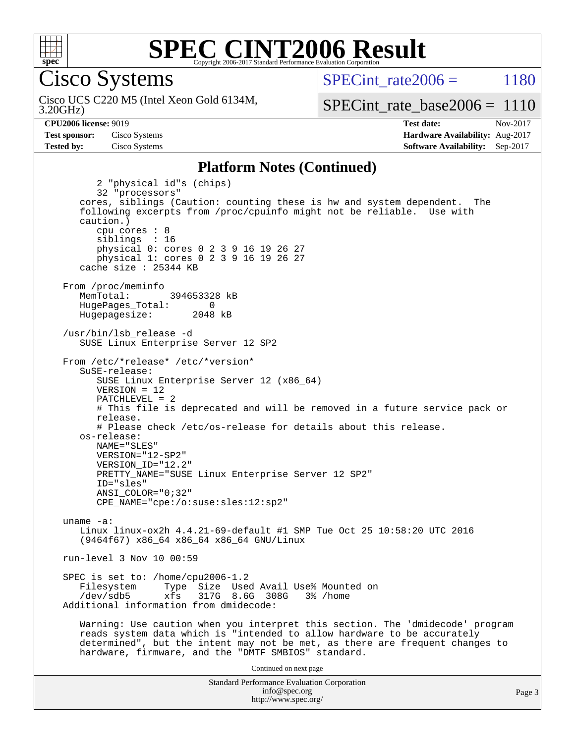

Cisco Systems

3.20GHz) Cisco UCS C220 M5 (Intel Xeon Gold 6134M, SPECint rate $2006 = 1180$ 

[SPECint\\_rate\\_base2006 =](http://www.spec.org/auto/cpu2006/Docs/result-fields.html#SPECintratebase2006) 1110

**[CPU2006 license:](http://www.spec.org/auto/cpu2006/Docs/result-fields.html#CPU2006license)** 9019 **[Test date:](http://www.spec.org/auto/cpu2006/Docs/result-fields.html#Testdate)** Nov-2017 **[Test sponsor:](http://www.spec.org/auto/cpu2006/Docs/result-fields.html#Testsponsor)** Cisco Systems **[Hardware Availability:](http://www.spec.org/auto/cpu2006/Docs/result-fields.html#HardwareAvailability)** Aug-2017 **[Tested by:](http://www.spec.org/auto/cpu2006/Docs/result-fields.html#Testedby)** Cisco Systems **[Software Availability:](http://www.spec.org/auto/cpu2006/Docs/result-fields.html#SoftwareAvailability)** Sep-2017

### **[Platform Notes \(Continued\)](http://www.spec.org/auto/cpu2006/Docs/result-fields.html#PlatformNotes)**

Standard Performance Evaluation Corporation 2 "physical id"s (chips) 32 "processors" cores, siblings (Caution: counting these is hw and system dependent. The following excerpts from /proc/cpuinfo might not be reliable. Use with caution.) cpu cores : 8 siblings : 16 physical 0: cores 0 2 3 9 16 19 26 27 physical 1: cores 0 2 3 9 16 19 26 27 cache size : 25344 KB From /proc/meminfo MemTotal: 394653328 kB HugePages\_Total: 0<br>Hugepagesize: 2048 kB Hugepagesize: /usr/bin/lsb\_release -d SUSE Linux Enterprise Server 12 SP2 From /etc/\*release\* /etc/\*version\* SuSE-release: SUSE Linux Enterprise Server 12 (x86\_64)  $VFRSTON = 12$  PATCHLEVEL = 2 # This file is deprecated and will be removed in a future service pack or release. # Please check /etc/os-release for details about this release. os-release: NAME="SLES" VERSION="12-SP2" VERSION\_ID="12.2" PRETTY\_NAME="SUSE Linux Enterprise Server 12 SP2" ID="sles" ANSI\_COLOR="0;32" CPE\_NAME="cpe:/o:suse:sles:12:sp2" uname -a: Linux linux-ox2h 4.4.21-69-default #1 SMP Tue Oct 25 10:58:20 UTC 2016 (9464f67) x86\_64 x86\_64 x86\_64 GNU/Linux run-level 3 Nov 10 00:59 SPEC is set to: /home/cpu2006-1.2<br>Filesystem Type Size Use Type Size Used Avail Use% Mounted on /dev/sdb5 xfs 317G 8.6G 308G 3% /home Additional information from dmidecode: Warning: Use caution when you interpret this section. The 'dmidecode' program reads system data which is "intended to allow hardware to be accurately determined", but the intent may not be met, as there are frequent changes to hardware, firmware, and the "DMTF SMBIOS" standard. Continued on next page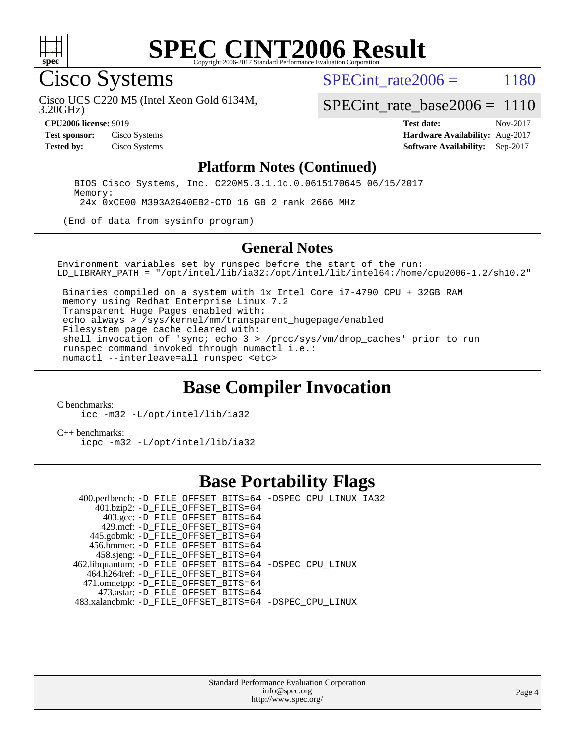

### **[SPEC CINT2006 Result](http://www.spec.org/auto/cpu2006/Docs/result-fields.html#SPECCINT2006Result)** Copyright 2006-2017 Standard Performance Evaluation C

Cisco Systems

SPECint rate $2006 = 1180$ 

3.20GHz) Cisco UCS C220 M5 (Intel Xeon Gold 6134M,

[SPECint\\_rate\\_base2006 =](http://www.spec.org/auto/cpu2006/Docs/result-fields.html#SPECintratebase2006) 1110

**[CPU2006 license:](http://www.spec.org/auto/cpu2006/Docs/result-fields.html#CPU2006license)** 9019 **[Test date:](http://www.spec.org/auto/cpu2006/Docs/result-fields.html#Testdate)** Nov-2017 **[Test sponsor:](http://www.spec.org/auto/cpu2006/Docs/result-fields.html#Testsponsor)** Cisco Systems **[Hardware Availability:](http://www.spec.org/auto/cpu2006/Docs/result-fields.html#HardwareAvailability)** Aug-2017 **[Tested by:](http://www.spec.org/auto/cpu2006/Docs/result-fields.html#Testedby)** Cisco Systems **[Software Availability:](http://www.spec.org/auto/cpu2006/Docs/result-fields.html#SoftwareAvailability)** Sep-2017

### **[Platform Notes \(Continued\)](http://www.spec.org/auto/cpu2006/Docs/result-fields.html#PlatformNotes)**

 BIOS Cisco Systems, Inc. C220M5.3.1.1d.0.0615170645 06/15/2017 Memory: 24x 0xCE00 M393A2G40EB2-CTD 16 GB 2 rank 2666 MHz

(End of data from sysinfo program)

#### **[General Notes](http://www.spec.org/auto/cpu2006/Docs/result-fields.html#GeneralNotes)**

Environment variables set by runspec before the start of the run: LD\_LIBRARY\_PATH = "/opt/intel/lib/ia32:/opt/intel/lib/intel64:/home/cpu2006-1.2/sh10.2"

 Binaries compiled on a system with 1x Intel Core i7-4790 CPU + 32GB RAM memory using Redhat Enterprise Linux 7.2 Transparent Huge Pages enabled with: echo always > /sys/kernel/mm/transparent\_hugepage/enabled Filesystem page cache cleared with: shell invocation of 'sync; echo 3 > /proc/sys/vm/drop\_caches' prior to run runspec command invoked through numactl i.e.: numactl --interleave=all runspec <etc>

## **[Base Compiler Invocation](http://www.spec.org/auto/cpu2006/Docs/result-fields.html#BaseCompilerInvocation)**

[C benchmarks](http://www.spec.org/auto/cpu2006/Docs/result-fields.html#Cbenchmarks):

[icc -m32 -L/opt/intel/lib/ia32](http://www.spec.org/cpu2006/results/res2017q4/cpu2006-20171114-50694.flags.html#user_CCbase_intel_icc_5b9b234ab5a48620dbff732649db9641)

[C++ benchmarks:](http://www.spec.org/auto/cpu2006/Docs/result-fields.html#CXXbenchmarks) [icpc -m32 -L/opt/intel/lib/ia32](http://www.spec.org/cpu2006/results/res2017q4/cpu2006-20171114-50694.flags.html#user_CXXbase_intel_icpc_01235b2dad29c0385d1e28a6a6b0d9cb)

### **[Base Portability Flags](http://www.spec.org/auto/cpu2006/Docs/result-fields.html#BasePortabilityFlags)**

 400.perlbench: [-D\\_FILE\\_OFFSET\\_BITS=64](http://www.spec.org/cpu2006/results/res2017q4/cpu2006-20171114-50694.flags.html#user_basePORTABILITY400_perlbench_file_offset_bits_64_438cf9856305ebd76870a2c6dc2689ab) [-DSPEC\\_CPU\\_LINUX\\_IA32](http://www.spec.org/cpu2006/results/res2017q4/cpu2006-20171114-50694.flags.html#b400.perlbench_baseCPORTABILITY_DSPEC_CPU_LINUX_IA32) 401.bzip2: [-D\\_FILE\\_OFFSET\\_BITS=64](http://www.spec.org/cpu2006/results/res2017q4/cpu2006-20171114-50694.flags.html#user_basePORTABILITY401_bzip2_file_offset_bits_64_438cf9856305ebd76870a2c6dc2689ab) 403.gcc: [-D\\_FILE\\_OFFSET\\_BITS=64](http://www.spec.org/cpu2006/results/res2017q4/cpu2006-20171114-50694.flags.html#user_basePORTABILITY403_gcc_file_offset_bits_64_438cf9856305ebd76870a2c6dc2689ab) 429.mcf: [-D\\_FILE\\_OFFSET\\_BITS=64](http://www.spec.org/cpu2006/results/res2017q4/cpu2006-20171114-50694.flags.html#user_basePORTABILITY429_mcf_file_offset_bits_64_438cf9856305ebd76870a2c6dc2689ab) 445.gobmk: [-D\\_FILE\\_OFFSET\\_BITS=64](http://www.spec.org/cpu2006/results/res2017q4/cpu2006-20171114-50694.flags.html#user_basePORTABILITY445_gobmk_file_offset_bits_64_438cf9856305ebd76870a2c6dc2689ab) 456.hmmer: [-D\\_FILE\\_OFFSET\\_BITS=64](http://www.spec.org/cpu2006/results/res2017q4/cpu2006-20171114-50694.flags.html#user_basePORTABILITY456_hmmer_file_offset_bits_64_438cf9856305ebd76870a2c6dc2689ab) 458.sjeng: [-D\\_FILE\\_OFFSET\\_BITS=64](http://www.spec.org/cpu2006/results/res2017q4/cpu2006-20171114-50694.flags.html#user_basePORTABILITY458_sjeng_file_offset_bits_64_438cf9856305ebd76870a2c6dc2689ab) 462.libquantum: [-D\\_FILE\\_OFFSET\\_BITS=64](http://www.spec.org/cpu2006/results/res2017q4/cpu2006-20171114-50694.flags.html#user_basePORTABILITY462_libquantum_file_offset_bits_64_438cf9856305ebd76870a2c6dc2689ab) [-DSPEC\\_CPU\\_LINUX](http://www.spec.org/cpu2006/results/res2017q4/cpu2006-20171114-50694.flags.html#b462.libquantum_baseCPORTABILITY_DSPEC_CPU_LINUX) 464.h264ref: [-D\\_FILE\\_OFFSET\\_BITS=64](http://www.spec.org/cpu2006/results/res2017q4/cpu2006-20171114-50694.flags.html#user_basePORTABILITY464_h264ref_file_offset_bits_64_438cf9856305ebd76870a2c6dc2689ab) 471.omnetpp: [-D\\_FILE\\_OFFSET\\_BITS=64](http://www.spec.org/cpu2006/results/res2017q4/cpu2006-20171114-50694.flags.html#user_basePORTABILITY471_omnetpp_file_offset_bits_64_438cf9856305ebd76870a2c6dc2689ab) 473.astar: [-D\\_FILE\\_OFFSET\\_BITS=64](http://www.spec.org/cpu2006/results/res2017q4/cpu2006-20171114-50694.flags.html#user_basePORTABILITY473_astar_file_offset_bits_64_438cf9856305ebd76870a2c6dc2689ab) 483.xalancbmk: [-D\\_FILE\\_OFFSET\\_BITS=64](http://www.spec.org/cpu2006/results/res2017q4/cpu2006-20171114-50694.flags.html#user_basePORTABILITY483_xalancbmk_file_offset_bits_64_438cf9856305ebd76870a2c6dc2689ab) [-DSPEC\\_CPU\\_LINUX](http://www.spec.org/cpu2006/results/res2017q4/cpu2006-20171114-50694.flags.html#b483.xalancbmk_baseCXXPORTABILITY_DSPEC_CPU_LINUX)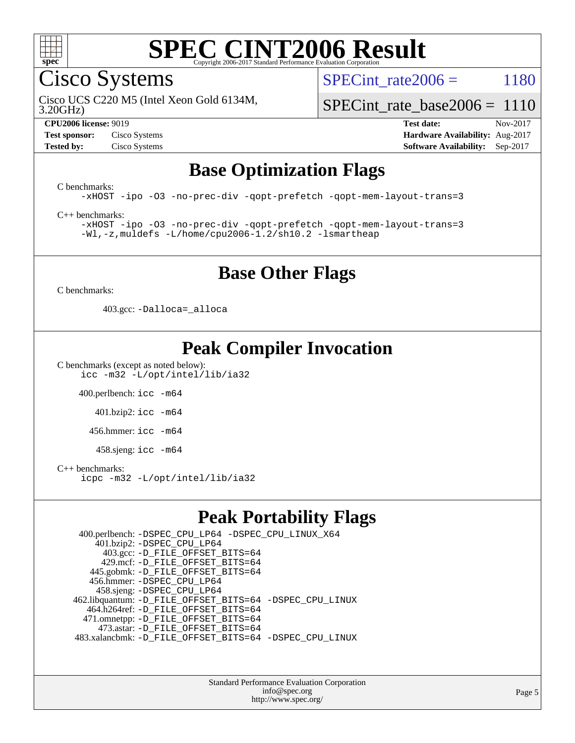

Cisco Systems

SPECint rate $2006 = 1180$ 

3.20GHz) Cisco UCS C220 M5 (Intel Xeon Gold 6134M,

[SPECint\\_rate\\_base2006 =](http://www.spec.org/auto/cpu2006/Docs/result-fields.html#SPECintratebase2006) 1110

**[CPU2006 license:](http://www.spec.org/auto/cpu2006/Docs/result-fields.html#CPU2006license)** 9019 **[Test date:](http://www.spec.org/auto/cpu2006/Docs/result-fields.html#Testdate)** Nov-2017 **[Test sponsor:](http://www.spec.org/auto/cpu2006/Docs/result-fields.html#Testsponsor)** Cisco Systems **[Hardware Availability:](http://www.spec.org/auto/cpu2006/Docs/result-fields.html#HardwareAvailability)** Aug-2017 **[Tested by:](http://www.spec.org/auto/cpu2006/Docs/result-fields.html#Testedby)** Cisco Systems **[Software Availability:](http://www.spec.org/auto/cpu2006/Docs/result-fields.html#SoftwareAvailability)** Sep-2017

## **[Base Optimization Flags](http://www.spec.org/auto/cpu2006/Docs/result-fields.html#BaseOptimizationFlags)**

[C benchmarks](http://www.spec.org/auto/cpu2006/Docs/result-fields.html#Cbenchmarks):

[-xHOST](http://www.spec.org/cpu2006/results/res2017q4/cpu2006-20171114-50694.flags.html#user_CCbase_f-xHost_e62ac3e528d1159ebbc7507f5617393f) [-ipo](http://www.spec.org/cpu2006/results/res2017q4/cpu2006-20171114-50694.flags.html#user_CCbase_f-ipo) [-O3](http://www.spec.org/cpu2006/results/res2017q4/cpu2006-20171114-50694.flags.html#user_CCbase_f-O3) [-no-prec-div](http://www.spec.org/cpu2006/results/res2017q4/cpu2006-20171114-50694.flags.html#user_CCbase_f-no-prec-div) [-qopt-prefetch](http://www.spec.org/cpu2006/results/res2017q4/cpu2006-20171114-50694.flags.html#user_CCbase_f-qopt-prefetch) [-qopt-mem-layout-trans=3](http://www.spec.org/cpu2006/results/res2017q4/cpu2006-20171114-50694.flags.html#user_CCbase_f-qopt-mem-layout-trans_170f5be61cd2cedc9b54468c59262d5d)

[C++ benchmarks:](http://www.spec.org/auto/cpu2006/Docs/result-fields.html#CXXbenchmarks)

[-xHOST](http://www.spec.org/cpu2006/results/res2017q4/cpu2006-20171114-50694.flags.html#user_CXXbase_f-xHost_e62ac3e528d1159ebbc7507f5617393f) [-ipo](http://www.spec.org/cpu2006/results/res2017q4/cpu2006-20171114-50694.flags.html#user_CXXbase_f-ipo) [-O3](http://www.spec.org/cpu2006/results/res2017q4/cpu2006-20171114-50694.flags.html#user_CXXbase_f-O3) [-no-prec-div](http://www.spec.org/cpu2006/results/res2017q4/cpu2006-20171114-50694.flags.html#user_CXXbase_f-no-prec-div) [-qopt-prefetch](http://www.spec.org/cpu2006/results/res2017q4/cpu2006-20171114-50694.flags.html#user_CXXbase_f-qopt-prefetch) [-qopt-mem-layout-trans=3](http://www.spec.org/cpu2006/results/res2017q4/cpu2006-20171114-50694.flags.html#user_CXXbase_f-qopt-mem-layout-trans_170f5be61cd2cedc9b54468c59262d5d) [-Wl,-z,muldefs](http://www.spec.org/cpu2006/results/res2017q4/cpu2006-20171114-50694.flags.html#user_CXXbase_link_force_multiple1_74079c344b956b9658436fd1b6dd3a8a) [-L/home/cpu2006-1.2/sh10.2 -lsmartheap](http://www.spec.org/cpu2006/results/res2017q4/cpu2006-20171114-50694.flags.html#user_CXXbase_SmartHeap_5706a66a2f6a219cbb238ac92a73101d)

## **[Base Other Flags](http://www.spec.org/auto/cpu2006/Docs/result-fields.html#BaseOtherFlags)**

[C benchmarks](http://www.spec.org/auto/cpu2006/Docs/result-fields.html#Cbenchmarks):

403.gcc: [-Dalloca=\\_alloca](http://www.spec.org/cpu2006/results/res2017q4/cpu2006-20171114-50694.flags.html#b403.gcc_baseEXTRA_CFLAGS_Dalloca_be3056838c12de2578596ca5467af7f3)

## **[Peak Compiler Invocation](http://www.spec.org/auto/cpu2006/Docs/result-fields.html#PeakCompilerInvocation)**

[C benchmarks \(except as noted below\)](http://www.spec.org/auto/cpu2006/Docs/result-fields.html#Cbenchmarksexceptasnotedbelow): [icc -m32 -L/opt/intel/lib/ia32](http://www.spec.org/cpu2006/results/res2017q4/cpu2006-20171114-50694.flags.html#user_CCpeak_intel_icc_5b9b234ab5a48620dbff732649db9641)

400.perlbench: [icc -m64](http://www.spec.org/cpu2006/results/res2017q4/cpu2006-20171114-50694.flags.html#user_peakCCLD400_perlbench_intel_icc_64bit_bda6cc9af1fdbb0edc3795bac97ada53)

401.bzip2: [icc -m64](http://www.spec.org/cpu2006/results/res2017q4/cpu2006-20171114-50694.flags.html#user_peakCCLD401_bzip2_intel_icc_64bit_bda6cc9af1fdbb0edc3795bac97ada53)

456.hmmer: [icc -m64](http://www.spec.org/cpu2006/results/res2017q4/cpu2006-20171114-50694.flags.html#user_peakCCLD456_hmmer_intel_icc_64bit_bda6cc9af1fdbb0edc3795bac97ada53)

 $458 \text{.}$ sjeng: icc  $-\text{m64}$ 

#### [C++ benchmarks:](http://www.spec.org/auto/cpu2006/Docs/result-fields.html#CXXbenchmarks)

[icpc -m32 -L/opt/intel/lib/ia32](http://www.spec.org/cpu2006/results/res2017q4/cpu2006-20171114-50694.flags.html#user_CXXpeak_intel_icpc_01235b2dad29c0385d1e28a6a6b0d9cb)

## **[Peak Portability Flags](http://www.spec.org/auto/cpu2006/Docs/result-fields.html#PeakPortabilityFlags)**

 400.perlbench: [-DSPEC\\_CPU\\_LP64](http://www.spec.org/cpu2006/results/res2017q4/cpu2006-20171114-50694.flags.html#b400.perlbench_peakCPORTABILITY_DSPEC_CPU_LP64) [-DSPEC\\_CPU\\_LINUX\\_X64](http://www.spec.org/cpu2006/results/res2017q4/cpu2006-20171114-50694.flags.html#b400.perlbench_peakCPORTABILITY_DSPEC_CPU_LINUX_X64) 401.bzip2: [-DSPEC\\_CPU\\_LP64](http://www.spec.org/cpu2006/results/res2017q4/cpu2006-20171114-50694.flags.html#suite_peakCPORTABILITY401_bzip2_DSPEC_CPU_LP64) 403.gcc: [-D\\_FILE\\_OFFSET\\_BITS=64](http://www.spec.org/cpu2006/results/res2017q4/cpu2006-20171114-50694.flags.html#user_peakPORTABILITY403_gcc_file_offset_bits_64_438cf9856305ebd76870a2c6dc2689ab) 429.mcf: [-D\\_FILE\\_OFFSET\\_BITS=64](http://www.spec.org/cpu2006/results/res2017q4/cpu2006-20171114-50694.flags.html#user_peakPORTABILITY429_mcf_file_offset_bits_64_438cf9856305ebd76870a2c6dc2689ab) 445.gobmk: [-D\\_FILE\\_OFFSET\\_BITS=64](http://www.spec.org/cpu2006/results/res2017q4/cpu2006-20171114-50694.flags.html#user_peakPORTABILITY445_gobmk_file_offset_bits_64_438cf9856305ebd76870a2c6dc2689ab) 456.hmmer: [-DSPEC\\_CPU\\_LP64](http://www.spec.org/cpu2006/results/res2017q4/cpu2006-20171114-50694.flags.html#suite_peakCPORTABILITY456_hmmer_DSPEC_CPU_LP64) 458.sjeng: [-DSPEC\\_CPU\\_LP64](http://www.spec.org/cpu2006/results/res2017q4/cpu2006-20171114-50694.flags.html#suite_peakCPORTABILITY458_sjeng_DSPEC_CPU_LP64) 462.libquantum: [-D\\_FILE\\_OFFSET\\_BITS=64](http://www.spec.org/cpu2006/results/res2017q4/cpu2006-20171114-50694.flags.html#user_peakPORTABILITY462_libquantum_file_offset_bits_64_438cf9856305ebd76870a2c6dc2689ab) [-DSPEC\\_CPU\\_LINUX](http://www.spec.org/cpu2006/results/res2017q4/cpu2006-20171114-50694.flags.html#b462.libquantum_peakCPORTABILITY_DSPEC_CPU_LINUX) 464.h264ref: [-D\\_FILE\\_OFFSET\\_BITS=64](http://www.spec.org/cpu2006/results/res2017q4/cpu2006-20171114-50694.flags.html#user_peakPORTABILITY464_h264ref_file_offset_bits_64_438cf9856305ebd76870a2c6dc2689ab) 471.omnetpp: [-D\\_FILE\\_OFFSET\\_BITS=64](http://www.spec.org/cpu2006/results/res2017q4/cpu2006-20171114-50694.flags.html#user_peakPORTABILITY471_omnetpp_file_offset_bits_64_438cf9856305ebd76870a2c6dc2689ab) 473.astar: [-D\\_FILE\\_OFFSET\\_BITS=64](http://www.spec.org/cpu2006/results/res2017q4/cpu2006-20171114-50694.flags.html#user_peakPORTABILITY473_astar_file_offset_bits_64_438cf9856305ebd76870a2c6dc2689ab) 483.xalancbmk: [-D\\_FILE\\_OFFSET\\_BITS=64](http://www.spec.org/cpu2006/results/res2017q4/cpu2006-20171114-50694.flags.html#user_peakPORTABILITY483_xalancbmk_file_offset_bits_64_438cf9856305ebd76870a2c6dc2689ab) [-DSPEC\\_CPU\\_LINUX](http://www.spec.org/cpu2006/results/res2017q4/cpu2006-20171114-50694.flags.html#b483.xalancbmk_peakCXXPORTABILITY_DSPEC_CPU_LINUX)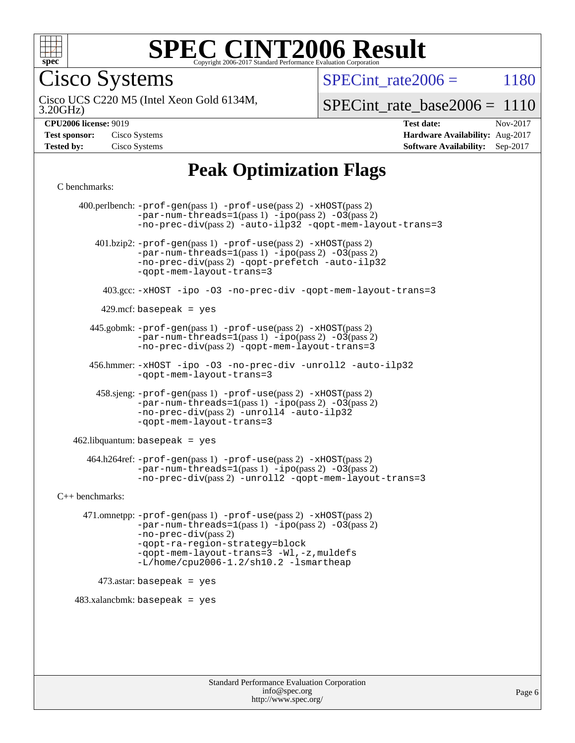

Cisco Systems

SPECint rate $2006 = 1180$ 

3.20GHz) Cisco UCS C220 M5 (Intel Xeon Gold 6134M,

 $SPECTnt_rate_base2006 = 1110$ 

**[Hardware Availability:](http://www.spec.org/auto/cpu2006/Docs/result-fields.html#HardwareAvailability)** Aug-2017 **[Software Availability:](http://www.spec.org/auto/cpu2006/Docs/result-fields.html#SoftwareAvailability)** Sep-2017

**[CPU2006 license:](http://www.spec.org/auto/cpu2006/Docs/result-fields.html#CPU2006license)** 9019 **[Test date:](http://www.spec.org/auto/cpu2006/Docs/result-fields.html#Testdate)** Nov-2017

| <b>Test sponsor:</b> | Cisco Systems |
|----------------------|---------------|
| <b>Tested by:</b>    | Cisco Systems |

## **[Peak Optimization Flags](http://www.spec.org/auto/cpu2006/Docs/result-fields.html#PeakOptimizationFlags)**

[C benchmarks](http://www.spec.org/auto/cpu2006/Docs/result-fields.html#Cbenchmarks):

 400.perlbench: [-prof-gen](http://www.spec.org/cpu2006/results/res2017q4/cpu2006-20171114-50694.flags.html#user_peakPASS1_CFLAGSPASS1_LDCFLAGS400_perlbench_prof_gen_e43856698f6ca7b7e442dfd80e94a8fc)(pass 1) [-prof-use](http://www.spec.org/cpu2006/results/res2017q4/cpu2006-20171114-50694.flags.html#user_peakPASS2_CFLAGSPASS2_LDCFLAGS400_perlbench_prof_use_bccf7792157ff70d64e32fe3e1250b55)(pass 2) [-xHOST](http://www.spec.org/cpu2006/results/res2017q4/cpu2006-20171114-50694.flags.html#user_peakPASS2_CFLAGSPASS2_LDCFLAGS400_perlbench_f-xHost_e62ac3e528d1159ebbc7507f5617393f)(pass 2)  $-par-num-threads=1(pass 1) -ipo(pass 2) -O3(pass 2)$  $-par-num-threads=1(pass 1) -ipo(pass 2) -O3(pass 2)$  $-par-num-threads=1(pass 1) -ipo(pass 2) -O3(pass 2)$  $-par-num-threads=1(pass 1) -ipo(pass 2) -O3(pass 2)$  $-par-num-threads=1(pass 1) -ipo(pass 2) -O3(pass 2)$  $-par-num-threads=1(pass 1) -ipo(pass 2) -O3(pass 2)$ [-no-prec-div](http://www.spec.org/cpu2006/results/res2017q4/cpu2006-20171114-50694.flags.html#user_peakPASS2_CFLAGSPASS2_LDCFLAGS400_perlbench_f-no-prec-div)(pass 2) [-auto-ilp32](http://www.spec.org/cpu2006/results/res2017q4/cpu2006-20171114-50694.flags.html#user_peakCOPTIMIZE400_perlbench_f-auto-ilp32) [-qopt-mem-layout-trans=3](http://www.spec.org/cpu2006/results/res2017q4/cpu2006-20171114-50694.flags.html#user_peakCOPTIMIZE400_perlbench_f-qopt-mem-layout-trans_170f5be61cd2cedc9b54468c59262d5d) 401.bzip2: [-prof-gen](http://www.spec.org/cpu2006/results/res2017q4/cpu2006-20171114-50694.flags.html#user_peakPASS1_CFLAGSPASS1_LDCFLAGS401_bzip2_prof_gen_e43856698f6ca7b7e442dfd80e94a8fc)(pass 1) [-prof-use](http://www.spec.org/cpu2006/results/res2017q4/cpu2006-20171114-50694.flags.html#user_peakPASS2_CFLAGSPASS2_LDCFLAGS401_bzip2_prof_use_bccf7792157ff70d64e32fe3e1250b55)(pass 2) [-xHOST](http://www.spec.org/cpu2006/results/res2017q4/cpu2006-20171114-50694.flags.html#user_peakPASS2_CFLAGSPASS2_LDCFLAGS401_bzip2_f-xHost_e62ac3e528d1159ebbc7507f5617393f)(pass 2)  $-par-num-threads=1(pass 1) -ipo(pass 2) -O3(pass 2)$  $-par-num-threads=1(pass 1) -ipo(pass 2) -O3(pass 2)$  $-par-num-threads=1(pass 1) -ipo(pass 2) -O3(pass 2)$  $-par-num-threads=1(pass 1) -ipo(pass 2) -O3(pass 2)$  $-par-num-threads=1(pass 1) -ipo(pass 2) -O3(pass 2)$  $-par-num-threads=1(pass 1) -ipo(pass 2) -O3(pass 2)$ [-no-prec-div](http://www.spec.org/cpu2006/results/res2017q4/cpu2006-20171114-50694.flags.html#user_peakPASS2_CFLAGSPASS2_LDCFLAGS401_bzip2_f-no-prec-div)(pass 2) [-qopt-prefetch](http://www.spec.org/cpu2006/results/res2017q4/cpu2006-20171114-50694.flags.html#user_peakCOPTIMIZE401_bzip2_f-qopt-prefetch) [-auto-ilp32](http://www.spec.org/cpu2006/results/res2017q4/cpu2006-20171114-50694.flags.html#user_peakCOPTIMIZE401_bzip2_f-auto-ilp32) [-qopt-mem-layout-trans=3](http://www.spec.org/cpu2006/results/res2017q4/cpu2006-20171114-50694.flags.html#user_peakCOPTIMIZE401_bzip2_f-qopt-mem-layout-trans_170f5be61cd2cedc9b54468c59262d5d) 403.gcc: [-xHOST](http://www.spec.org/cpu2006/results/res2017q4/cpu2006-20171114-50694.flags.html#user_peakOPTIMIZE403_gcc_f-xHost_e62ac3e528d1159ebbc7507f5617393f) [-ipo](http://www.spec.org/cpu2006/results/res2017q4/cpu2006-20171114-50694.flags.html#user_peakOPTIMIZE403_gcc_f-ipo) [-O3](http://www.spec.org/cpu2006/results/res2017q4/cpu2006-20171114-50694.flags.html#user_peakOPTIMIZE403_gcc_f-O3) [-no-prec-div](http://www.spec.org/cpu2006/results/res2017q4/cpu2006-20171114-50694.flags.html#user_peakOPTIMIZE403_gcc_f-no-prec-div) [-qopt-mem-layout-trans=3](http://www.spec.org/cpu2006/results/res2017q4/cpu2006-20171114-50694.flags.html#user_peakCOPTIMIZE403_gcc_f-qopt-mem-layout-trans_170f5be61cd2cedc9b54468c59262d5d)  $429$ .mcf: basepeak = yes 445.gobmk: [-prof-gen](http://www.spec.org/cpu2006/results/res2017q4/cpu2006-20171114-50694.flags.html#user_peakPASS1_CFLAGSPASS1_LDCFLAGS445_gobmk_prof_gen_e43856698f6ca7b7e442dfd80e94a8fc)(pass 1) [-prof-use](http://www.spec.org/cpu2006/results/res2017q4/cpu2006-20171114-50694.flags.html#user_peakPASS2_CFLAGSPASS2_LDCFLAGSPASS2_LDFLAGS445_gobmk_prof_use_bccf7792157ff70d64e32fe3e1250b55)(pass 2) [-xHOST](http://www.spec.org/cpu2006/results/res2017q4/cpu2006-20171114-50694.flags.html#user_peakPASS2_CFLAGSPASS2_LDCFLAGSPASS2_LDFLAGS445_gobmk_f-xHost_e62ac3e528d1159ebbc7507f5617393f)(pass 2)  $-par-num-threads=1(pass 1) -ipo(pass 2) -O3(pass 2)$  $-par-num-threads=1(pass 1) -ipo(pass 2) -O3(pass 2)$  $-par-num-threads=1(pass 1) -ipo(pass 2) -O3(pass 2)$  $-par-num-threads=1(pass 1) -ipo(pass 2) -O3(pass 2)$  $-par-num-threads=1(pass 1) -ipo(pass 2) -O3(pass 2)$  $-par-num-threads=1(pass 1) -ipo(pass 2) -O3(pass 2)$ [-no-prec-div](http://www.spec.org/cpu2006/results/res2017q4/cpu2006-20171114-50694.flags.html#user_peakPASS2_LDCFLAGS445_gobmk_f-no-prec-div)(pass 2) [-qopt-mem-layout-trans=3](http://www.spec.org/cpu2006/results/res2017q4/cpu2006-20171114-50694.flags.html#user_peakCOPTIMIZE445_gobmk_f-qopt-mem-layout-trans_170f5be61cd2cedc9b54468c59262d5d) 456.hmmer: [-xHOST](http://www.spec.org/cpu2006/results/res2017q4/cpu2006-20171114-50694.flags.html#user_peakOPTIMIZE456_hmmer_f-xHost_e62ac3e528d1159ebbc7507f5617393f) [-ipo](http://www.spec.org/cpu2006/results/res2017q4/cpu2006-20171114-50694.flags.html#user_peakOPTIMIZE456_hmmer_f-ipo) [-O3](http://www.spec.org/cpu2006/results/res2017q4/cpu2006-20171114-50694.flags.html#user_peakOPTIMIZE456_hmmer_f-O3) [-no-prec-div](http://www.spec.org/cpu2006/results/res2017q4/cpu2006-20171114-50694.flags.html#user_peakOPTIMIZE456_hmmer_f-no-prec-div) [-unroll2](http://www.spec.org/cpu2006/results/res2017q4/cpu2006-20171114-50694.flags.html#user_peakCOPTIMIZE456_hmmer_f-unroll_784dae83bebfb236979b41d2422d7ec2) [-auto-ilp32](http://www.spec.org/cpu2006/results/res2017q4/cpu2006-20171114-50694.flags.html#user_peakCOPTIMIZE456_hmmer_f-auto-ilp32) [-qopt-mem-layout-trans=3](http://www.spec.org/cpu2006/results/res2017q4/cpu2006-20171114-50694.flags.html#user_peakCOPTIMIZE456_hmmer_f-qopt-mem-layout-trans_170f5be61cd2cedc9b54468c59262d5d) 458.sjeng: [-prof-gen](http://www.spec.org/cpu2006/results/res2017q4/cpu2006-20171114-50694.flags.html#user_peakPASS1_CFLAGSPASS1_LDCFLAGS458_sjeng_prof_gen_e43856698f6ca7b7e442dfd80e94a8fc)(pass 1) [-prof-use](http://www.spec.org/cpu2006/results/res2017q4/cpu2006-20171114-50694.flags.html#user_peakPASS2_CFLAGSPASS2_LDCFLAGS458_sjeng_prof_use_bccf7792157ff70d64e32fe3e1250b55)(pass 2) [-xHOST](http://www.spec.org/cpu2006/results/res2017q4/cpu2006-20171114-50694.flags.html#user_peakPASS2_CFLAGSPASS2_LDCFLAGS458_sjeng_f-xHost_e62ac3e528d1159ebbc7507f5617393f)(pass 2)  $-par-num-threads=1(pass 1) -ipo(pass 2) -O3(pass 2)$  $-par-num-threads=1(pass 1) -ipo(pass 2) -O3(pass 2)$  $-par-num-threads=1(pass 1) -ipo(pass 2) -O3(pass 2)$  $-par-num-threads=1(pass 1) -ipo(pass 2) -O3(pass 2)$  $-par-num-threads=1(pass 1) -ipo(pass 2) -O3(pass 2)$  $-par-num-threads=1(pass 1) -ipo(pass 2) -O3(pass 2)$ [-no-prec-div](http://www.spec.org/cpu2006/results/res2017q4/cpu2006-20171114-50694.flags.html#user_peakPASS2_CFLAGSPASS2_LDCFLAGS458_sjeng_f-no-prec-div)(pass 2) [-unroll4](http://www.spec.org/cpu2006/results/res2017q4/cpu2006-20171114-50694.flags.html#user_peakCOPTIMIZE458_sjeng_f-unroll_4e5e4ed65b7fd20bdcd365bec371b81f) [-auto-ilp32](http://www.spec.org/cpu2006/results/res2017q4/cpu2006-20171114-50694.flags.html#user_peakCOPTIMIZE458_sjeng_f-auto-ilp32) [-qopt-mem-layout-trans=3](http://www.spec.org/cpu2006/results/res2017q4/cpu2006-20171114-50694.flags.html#user_peakCOPTIMIZE458_sjeng_f-qopt-mem-layout-trans_170f5be61cd2cedc9b54468c59262d5d)  $462$ .libquantum: basepeak = yes 464.h264ref: [-prof-gen](http://www.spec.org/cpu2006/results/res2017q4/cpu2006-20171114-50694.flags.html#user_peakPASS1_CFLAGSPASS1_LDCFLAGS464_h264ref_prof_gen_e43856698f6ca7b7e442dfd80e94a8fc)(pass 1) [-prof-use](http://www.spec.org/cpu2006/results/res2017q4/cpu2006-20171114-50694.flags.html#user_peakPASS2_CFLAGSPASS2_LDCFLAGS464_h264ref_prof_use_bccf7792157ff70d64e32fe3e1250b55)(pass 2) [-xHOST](http://www.spec.org/cpu2006/results/res2017q4/cpu2006-20171114-50694.flags.html#user_peakPASS2_CFLAGSPASS2_LDCFLAGS464_h264ref_f-xHost_e62ac3e528d1159ebbc7507f5617393f)(pass 2)  $-par-num-threads=1(pass 1) -ipo(pass 2) -O3(pass 2)$  $-par-num-threads=1(pass 1) -ipo(pass 2) -O3(pass 2)$  $-par-num-threads=1(pass 1) -ipo(pass 2) -O3(pass 2)$  $-par-num-threads=1(pass 1) -ipo(pass 2) -O3(pass 2)$  $-par-num-threads=1(pass 1) -ipo(pass 2) -O3(pass 2)$  $-par-num-threads=1(pass 1) -ipo(pass 2) -O3(pass 2)$ [-no-prec-div](http://www.spec.org/cpu2006/results/res2017q4/cpu2006-20171114-50694.flags.html#user_peakPASS2_CFLAGSPASS2_LDCFLAGS464_h264ref_f-no-prec-div)(pass 2) [-unroll2](http://www.spec.org/cpu2006/results/res2017q4/cpu2006-20171114-50694.flags.html#user_peakCOPTIMIZE464_h264ref_f-unroll_784dae83bebfb236979b41d2422d7ec2) [-qopt-mem-layout-trans=3](http://www.spec.org/cpu2006/results/res2017q4/cpu2006-20171114-50694.flags.html#user_peakCOPTIMIZE464_h264ref_f-qopt-mem-layout-trans_170f5be61cd2cedc9b54468c59262d5d) [C++ benchmarks:](http://www.spec.org/auto/cpu2006/Docs/result-fields.html#CXXbenchmarks) 471.omnetpp: [-prof-gen](http://www.spec.org/cpu2006/results/res2017q4/cpu2006-20171114-50694.flags.html#user_peakPASS1_CXXFLAGSPASS1_LDCXXFLAGS471_omnetpp_prof_gen_e43856698f6ca7b7e442dfd80e94a8fc)(pass 1) [-prof-use](http://www.spec.org/cpu2006/results/res2017q4/cpu2006-20171114-50694.flags.html#user_peakPASS2_CXXFLAGSPASS2_LDCXXFLAGS471_omnetpp_prof_use_bccf7792157ff70d64e32fe3e1250b55)(pass 2) [-xHOST](http://www.spec.org/cpu2006/results/res2017q4/cpu2006-20171114-50694.flags.html#user_peakPASS2_CXXFLAGSPASS2_LDCXXFLAGS471_omnetpp_f-xHost_e62ac3e528d1159ebbc7507f5617393f)(pass 2)  $-par-num-threads=1(pass 1) -ipo(pass 2) -O3(pass 2)$  $-par-num-threads=1(pass 1) -ipo(pass 2) -O3(pass 2)$  $-par-num-threads=1(pass 1) -ipo(pass 2) -O3(pass 2)$  $-par-num-threads=1(pass 1) -ipo(pass 2) -O3(pass 2)$  $-par-num-threads=1(pass 1) -ipo(pass 2) -O3(pass 2)$  $-par-num-threads=1(pass 1) -ipo(pass 2) -O3(pass 2)$ [-no-prec-div](http://www.spec.org/cpu2006/results/res2017q4/cpu2006-20171114-50694.flags.html#user_peakPASS2_CXXFLAGSPASS2_LDCXXFLAGS471_omnetpp_f-no-prec-div)(pass 2) [-qopt-ra-region-strategy=block](http://www.spec.org/cpu2006/results/res2017q4/cpu2006-20171114-50694.flags.html#user_peakCXXOPTIMIZE471_omnetpp_f-qopt-ra-region-strategy_430aa8f7c220cbde92ae827fa8d9be32)  [-qopt-mem-layout-trans=3](http://www.spec.org/cpu2006/results/res2017q4/cpu2006-20171114-50694.flags.html#user_peakCXXOPTIMIZE471_omnetpp_f-qopt-mem-layout-trans_170f5be61cd2cedc9b54468c59262d5d) [-Wl,-z,muldefs](http://www.spec.org/cpu2006/results/res2017q4/cpu2006-20171114-50694.flags.html#user_peakEXTRA_LDFLAGS471_omnetpp_link_force_multiple1_74079c344b956b9658436fd1b6dd3a8a) [-L/home/cpu2006-1.2/sh10.2 -lsmartheap](http://www.spec.org/cpu2006/results/res2017q4/cpu2006-20171114-50694.flags.html#user_peakEXTRA_LIBS471_omnetpp_SmartHeap_5706a66a2f6a219cbb238ac92a73101d)  $473$ .astar: basepeak = yes  $483.xalanchmk: basepeak = yes$